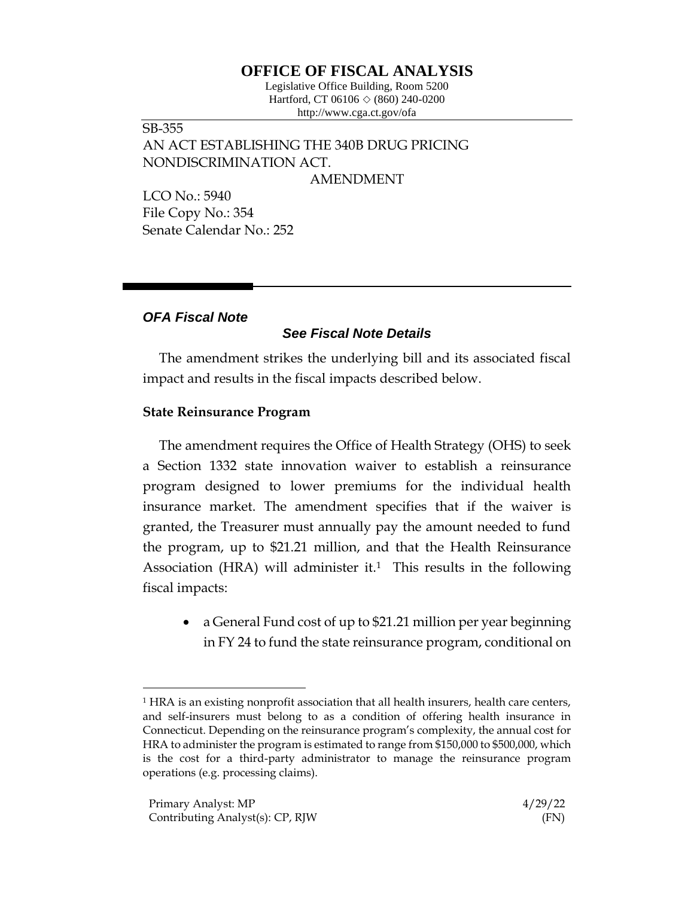# **OFFICE OF FISCAL ANALYSIS**

Legislative Office Building, Room 5200 Hartford, CT 06106  $\Diamond$  (860) 240-0200 http://www.cga.ct.gov/ofa

SB-355 AN ACT ESTABLISHING THE 340B DRUG PRICING NONDISCRIMINATION ACT.

AMENDMENT

LCO No.: 5940 File Copy No.: 354 Senate Calendar No.: 252

# *OFA Fiscal Note*

# *See Fiscal Note Details*

The amendment strikes the underlying bill and its associated fiscal impact and results in the fiscal impacts described below.

### **State Reinsurance Program**

The amendment requires the Office of Health Strategy (OHS) to seek a Section 1332 state innovation waiver to establish a reinsurance program designed to lower premiums for the individual health insurance market. The amendment specifies that if the waiver is granted, the Treasurer must annually pay the amount needed to fund the program, up to \$21.21 million, and that the Health Reinsurance Association (HRA) will administer it.<sup>1</sup> This results in the following fiscal impacts:

• a General Fund cost of up to \$21.21 million per year beginning in FY 24 to fund the state reinsurance program, conditional on

<sup>1</sup> HRA is an existing nonprofit association that all health insurers, health care centers, and self-insurers must belong to as a condition of offering health insurance in Connecticut. Depending on the reinsurance program's complexity, the annual cost for HRA to administer the program is estimated to range from \$150,000 to \$500,000, which is the cost for a third-party administrator to manage the reinsurance program operations (e.g. processing claims).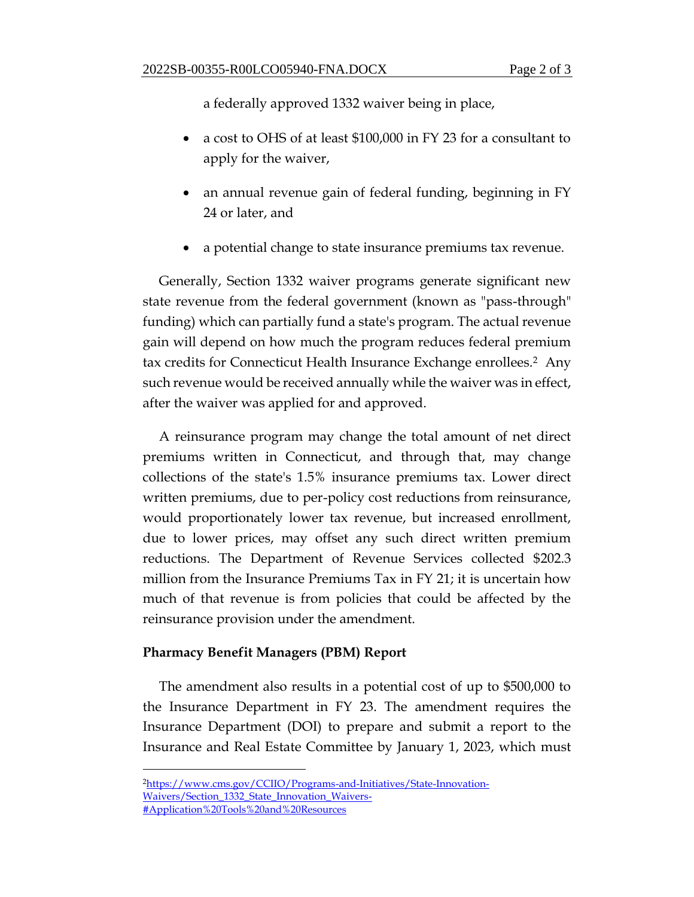a federally approved 1332 waiver being in place,

- a cost to OHS of at least \$100,000 in FY 23 for a consultant to apply for the waiver,
- an annual revenue gain of federal funding, beginning in FY 24 or later, and
- a potential change to state insurance premiums tax revenue.

Generally, Section 1332 waiver programs generate significant new state revenue from the federal government (known as "pass-through" funding) which can partially fund a state's program. The actual revenue gain will depend on how much the program reduces federal premium tax credits for Connecticut Health Insurance Exchange enrollees.2 Any such revenue would be received annually while the waiver was in effect, after the waiver was applied for and approved.

A reinsurance program may change the total amount of net direct premiums written in Connecticut, and through that, may change collections of the state's 1.5% insurance premiums tax. Lower direct written premiums, due to per-policy cost reductions from reinsurance, would proportionately lower tax revenue, but increased enrollment, due to lower prices, may offset any such direct written premium reductions. The Department of Revenue Services collected \$202.3 million from the Insurance Premiums Tax in FY 21; it is uncertain how much of that revenue is from policies that could be affected by the reinsurance provision under the amendment.

### **Pharmacy Benefit Managers (PBM) Report**

The amendment also results in a potential cost of up to \$500,000 to the Insurance Department in FY 23. The amendment requires the Insurance Department (DOI) to prepare and submit a report to the Insurance and Real Estate Committee by January 1, 2023, which must

<sup>2</sup>[https://www.cms.gov/CCIIO/Programs-and-Initiatives/State-Innovation-](https://www.cms.gov/CCIIO/Programs-and-Initiatives/State-Innovation-Waivers/Section_1332_State_Innovation_Waivers-#Application%20Tools%20and%20Resources)[Waivers/Section\\_1332\\_State\\_Innovation\\_Waivers-](https://www.cms.gov/CCIIO/Programs-and-Initiatives/State-Innovation-Waivers/Section_1332_State_Innovation_Waivers-#Application%20Tools%20and%20Resources) [#Application%20Tools%20and%20Resources](https://www.cms.gov/CCIIO/Programs-and-Initiatives/State-Innovation-Waivers/Section_1332_State_Innovation_Waivers-#Application%20Tools%20and%20Resources)